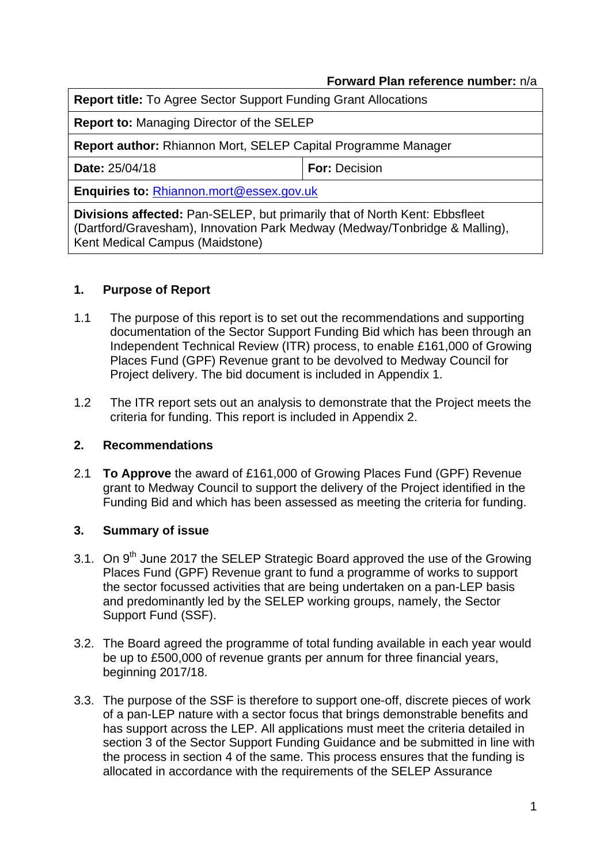### **Forward Plan reference number:** n/a

| Report title: To Agree Sector Support Funding Grant Allocations                                                                                                                                    |                      |  |  |  |
|----------------------------------------------------------------------------------------------------------------------------------------------------------------------------------------------------|----------------------|--|--|--|
| <b>Report to: Managing Director of the SELEP</b>                                                                                                                                                   |                      |  |  |  |
| <b>Report author: Rhiannon Mort, SELEP Capital Programme Manager</b>                                                                                                                               |                      |  |  |  |
| Date: 25/04/18                                                                                                                                                                                     | <b>For: Decision</b> |  |  |  |
| Enquiries to: Rhiannon.mort@essex.gov.uk                                                                                                                                                           |                      |  |  |  |
| <b>Divisions affected:</b> Pan-SELEP, but primarily that of North Kent: Ebbsfleet<br>(Dartford/Gravesham), Innovation Park Medway (Medway/Tonbridge & Malling),<br>Kent Medical Campus (Maidstone) |                      |  |  |  |

## **1. Purpose of Report**

- 1.1 The purpose of this report is to set out the recommendations and supporting documentation of the Sector Support Funding Bid which has been through an Independent Technical Review (ITR) process, to enable £161,000 of Growing Places Fund (GPF) Revenue grant to be devolved to Medway Council for Project delivery. The bid document is included in Appendix 1.
- 1.2 The ITR report sets out an analysis to demonstrate that the Project meets the criteria for funding. This report is included in Appendix 2.

### **2. Recommendations**

2.1 **To Approve** the award of £161,000 of Growing Places Fund (GPF) Revenue grant to Medway Council to support the delivery of the Project identified in the Funding Bid and which has been assessed as meeting the criteria for funding.

### **3. Summary of issue**

- 3.1. On 9<sup>th</sup> June 2017 the SELEP Strategic Board approved the use of the Growing Places Fund (GPF) Revenue grant to fund a programme of works to support the sector focussed activities that are being undertaken on a pan-LEP basis and predominantly led by the SELEP working groups, namely, the Sector Support Fund (SSF).
- 3.2. The Board agreed the programme of total funding available in each year would be up to £500,000 of revenue grants per annum for three financial years, beginning 2017/18.
- 3.3. The purpose of the SSF is therefore to support one-off, discrete pieces of work of a pan-LEP nature with a sector focus that brings demonstrable benefits and has support across the LEP. All applications must meet the criteria detailed in section 3 of the Sector Support Funding Guidance and be submitted in line with the process in section 4 of the same. This process ensures that the funding is allocated in accordance with the requirements of the SELEP Assurance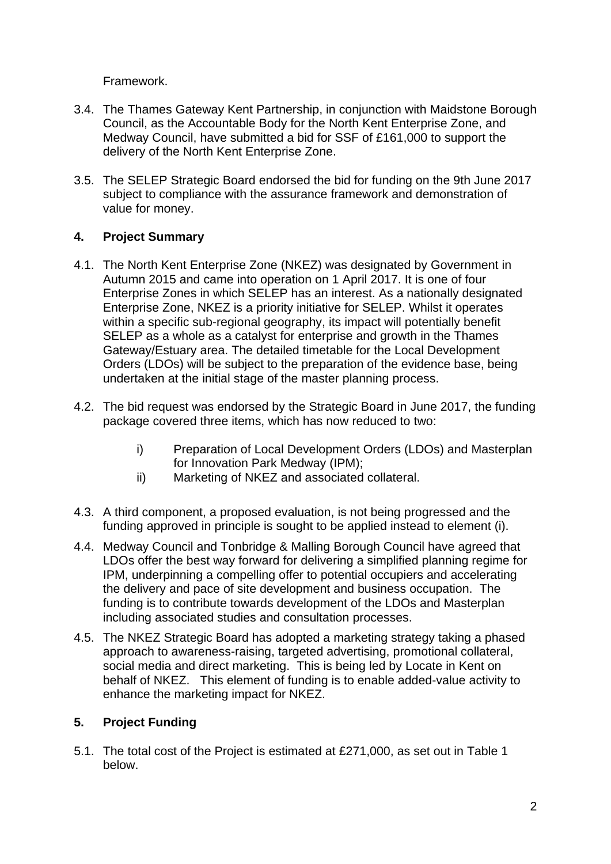Framework.

- 3.4. The Thames Gateway Kent Partnership, in conjunction with Maidstone Borough Council, as the Accountable Body for the North Kent Enterprise Zone, and Medway Council, have submitted a bid for SSF of £161,000 to support the delivery of the North Kent Enterprise Zone.
- 3.5. The SELEP Strategic Board endorsed the bid for funding on the 9th June 2017 subject to compliance with the assurance framework and demonstration of value for money.

# **4. Project Summary**

- 4.1. The North Kent Enterprise Zone (NKEZ) was designated by Government in Autumn 2015 and came into operation on 1 April 2017. It is one of four Enterprise Zones in which SELEP has an interest. As a nationally designated Enterprise Zone, NKEZ is a priority initiative for SELEP. Whilst it operates within a specific sub-regional geography, its impact will potentially benefit SELEP as a whole as a catalyst for enterprise and growth in the Thames Gateway/Estuary area. The detailed timetable for the Local Development Orders (LDOs) will be subject to the preparation of the evidence base, being undertaken at the initial stage of the master planning process.
- 4.2. The bid request was endorsed by the Strategic Board in June 2017, the funding package covered three items, which has now reduced to two:
	- i) Preparation of Local Development Orders (LDOs) and Masterplan for Innovation Park Medway (IPM);
	- ii) Marketing of NKEZ and associated collateral.
- 4.3. A third component, a proposed evaluation, is not being progressed and the funding approved in principle is sought to be applied instead to element (i).
- 4.4. Medway Council and Tonbridge & Malling Borough Council have agreed that LDOs offer the best way forward for delivering a simplified planning regime for IPM, underpinning a compelling offer to potential occupiers and accelerating the delivery and pace of site development and business occupation. The funding is to contribute towards development of the LDOs and Masterplan including associated studies and consultation processes.
- 4.5. The NKEZ Strategic Board has adopted a marketing strategy taking a phased approach to awareness-raising, targeted advertising, promotional collateral, social media and direct marketing. This is being led by Locate in Kent on behalf of NKEZ. This element of funding is to enable added-value activity to enhance the marketing impact for NKEZ.

# **5. Project Funding**

5.1. The total cost of the Project is estimated at £271,000, as set out in Table 1 below.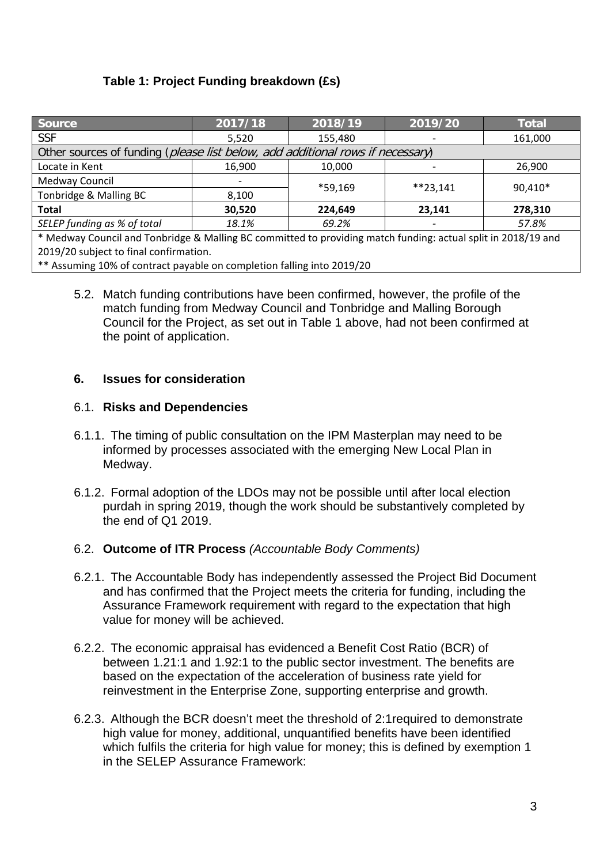# **Table 1: Project Funding breakdown (£s)**

| <b>Source</b>                                                                  | 2017/18                  | 2018/19 | 2019/20    | <b>Total</b> |  |
|--------------------------------------------------------------------------------|--------------------------|---------|------------|--------------|--|
| <b>SSF</b>                                                                     | 5,520                    | 155,480 |            | 161,000      |  |
| Other sources of funding (please list below, add additional rows if necessary) |                          |         |            |              |  |
| Locate in Kent                                                                 | 16,900                   | 10,000  |            | 26,900       |  |
| Medway Council                                                                 | $\overline{\phantom{a}}$ | *59,169 | $**23.141$ | 90,410*      |  |
| Tonbridge & Malling BC                                                         | 8,100                    |         |            |              |  |
| <b>Total</b>                                                                   | 30,520                   | 224,649 | 23,141     | 278,310      |  |
| SELEP funding as % of total                                                    | 18.1%                    | 69.2%   |            | 57.8%        |  |
| .<br>.<br>$\sim$ $\sim$ $\sim$ $\sim$ $\sim$ $\sim$                            |                          |         |            |              |  |

\* Medway Council and Tonbridge & Malling BC committed to providing match funding: actual split in 2018/19 and 2019/20 subject to final confirmation.

\*\* Assuming 10% of contract payable on completion falling into 2019/20

5.2. Match funding contributions have been confirmed, however, the profile of the match funding from Medway Council and Tonbridge and Malling Borough Council for the Project, as set out in Table 1 above, had not been confirmed at the point of application.

## **6. Issues for consideration**

## 6.1. **Risks and Dependencies**

- 6.1.1. The timing of public consultation on the IPM Masterplan may need to be informed by processes associated with the emerging New Local Plan in Medway.
- 6.1.2. Formal adoption of the LDOs may not be possible until after local election purdah in spring 2019, though the work should be substantively completed by the end of Q1 2019.

# 6.2. **Outcome of ITR Process** *(Accountable Body Comments)*

- 6.2.1. The Accountable Body has independently assessed the Project Bid Document and has confirmed that the Project meets the criteria for funding, including the Assurance Framework requirement with regard to the expectation that high value for money will be achieved.
- 6.2.2. The economic appraisal has evidenced a Benefit Cost Ratio (BCR) of between 1.21:1 and 1.92:1 to the public sector investment. The benefits are based on the expectation of the acceleration of business rate yield for reinvestment in the Enterprise Zone, supporting enterprise and growth.
- 6.2.3. Although the BCR doesn't meet the threshold of 2:1required to demonstrate high value for money, additional, unquantified benefits have been identified which fulfils the criteria for high value for money; this is defined by exemption 1 in the SELEP Assurance Framework: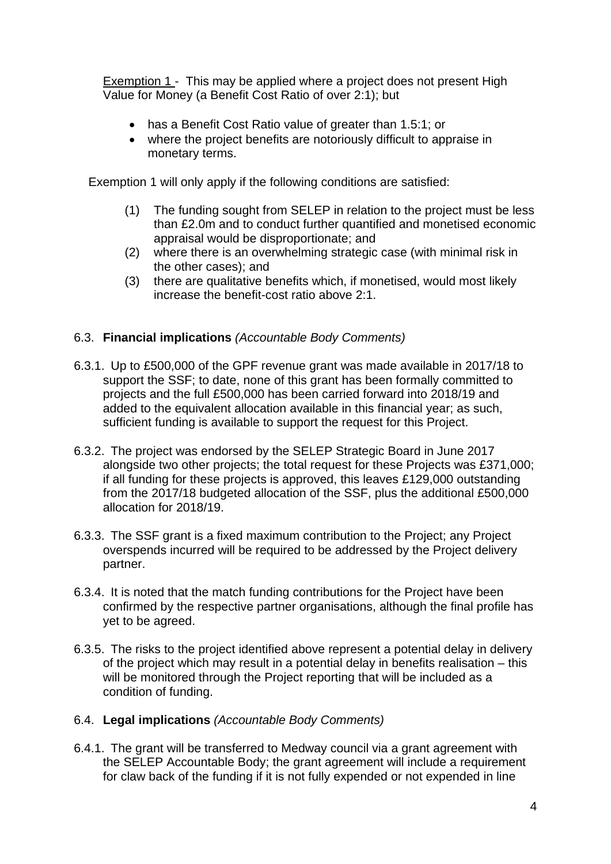Exemption 1 - This may be applied where a project does not present High Value for Money (a Benefit Cost Ratio of over 2:1); but

- has a Benefit Cost Ratio value of greater than 1.5:1; or
- where the project benefits are notoriously difficult to appraise in monetary terms.

Exemption 1 will only apply if the following conditions are satisfied:

- (1) The funding sought from SELEP in relation to the project must be less than £2.0m and to conduct further quantified and monetised economic appraisal would be disproportionate; and
- (2) where there is an overwhelming strategic case (with minimal risk in the other cases); and
- (3) there are qualitative benefits which, if monetised, would most likely increase the benefit-cost ratio above 2:1.

# 6.3. **Financial implications** *(Accountable Body Comments)*

- 6.3.1. Up to £500,000 of the GPF revenue grant was made available in 2017/18 to support the SSF; to date, none of this grant has been formally committed to projects and the full £500,000 has been carried forward into 2018/19 and added to the equivalent allocation available in this financial year; as such, sufficient funding is available to support the request for this Project.
- 6.3.2. The project was endorsed by the SELEP Strategic Board in June 2017 alongside two other projects; the total request for these Projects was £371,000; if all funding for these projects is approved, this leaves £129,000 outstanding from the 2017/18 budgeted allocation of the SSF, plus the additional £500,000 allocation for 2018/19.
- 6.3.3. The SSF grant is a fixed maximum contribution to the Project; any Project overspends incurred will be required to be addressed by the Project delivery partner.
- 6.3.4. It is noted that the match funding contributions for the Project have been confirmed by the respective partner organisations, although the final profile has yet to be agreed.
- 6.3.5. The risks to the project identified above represent a potential delay in delivery of the project which may result in a potential delay in benefits realisation – this will be monitored through the Project reporting that will be included as a condition of funding.

# 6.4. **Legal implications** *(Accountable Body Comments)*

6.4.1. The grant will be transferred to Medway council via a grant agreement with the SELEP Accountable Body; the grant agreement will include a requirement for claw back of the funding if it is not fully expended or not expended in line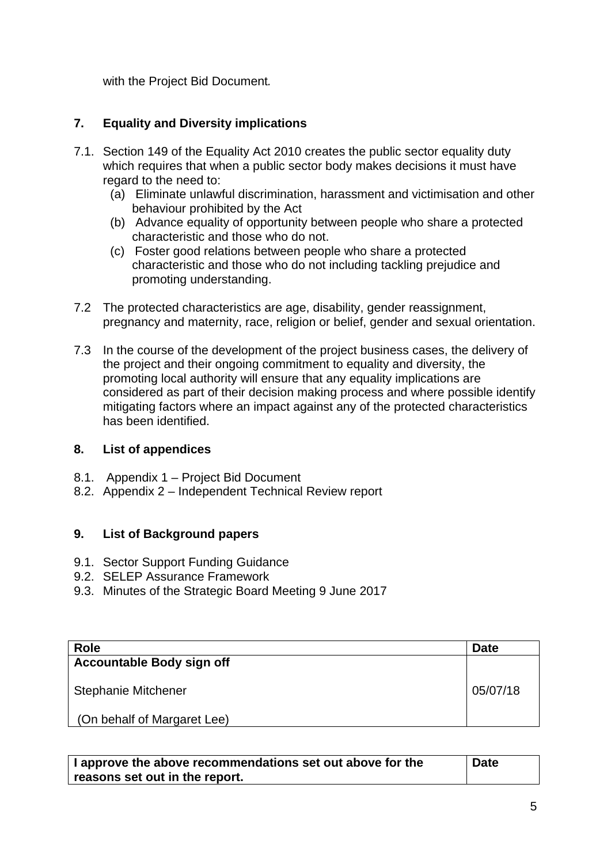with the Project Bid Document*.*

# **7. Equality and Diversity implications**

- 7.1. Section 149 of the Equality Act 2010 creates the public sector equality duty which requires that when a public sector body makes decisions it must have regard to the need to:
	- (a) Eliminate unlawful discrimination, harassment and victimisation and other behaviour prohibited by the Act
	- (b) Advance equality of opportunity between people who share a protected characteristic and those who do not.
	- (c) Foster good relations between people who share a protected characteristic and those who do not including tackling prejudice and promoting understanding.
- 7.2 The protected characteristics are age, disability, gender reassignment, pregnancy and maternity, race, religion or belief, gender and sexual orientation.
- 7.3 In the course of the development of the project business cases, the delivery of the project and their ongoing commitment to equality and diversity, the promoting local authority will ensure that any equality implications are considered as part of their decision making process and where possible identify mitigating factors where an impact against any of the protected characteristics has been identified.

### **8. List of appendices**

- 8.1. Appendix 1 Project Bid Document
- 8.2. Appendix 2 Independent Technical Review report

# **9. List of Background papers**

- 9.1. Sector Support Funding Guidance
- 9.2. SELEP Assurance Framework
- 9.3. Minutes of the Strategic Board Meeting 9 June 2017

| <b>Role</b>                      | <b>Date</b> |
|----------------------------------|-------------|
| <b>Accountable Body sign off</b> |             |
| <b>Stephanie Mitchener</b>       | 05/07/18    |
| (On behalf of Margaret Lee)      |             |

| I approve the above recommendations set out above for the | <b>Date</b> |
|-----------------------------------------------------------|-------------|
| $\,$ reasons set out in the report.                       |             |